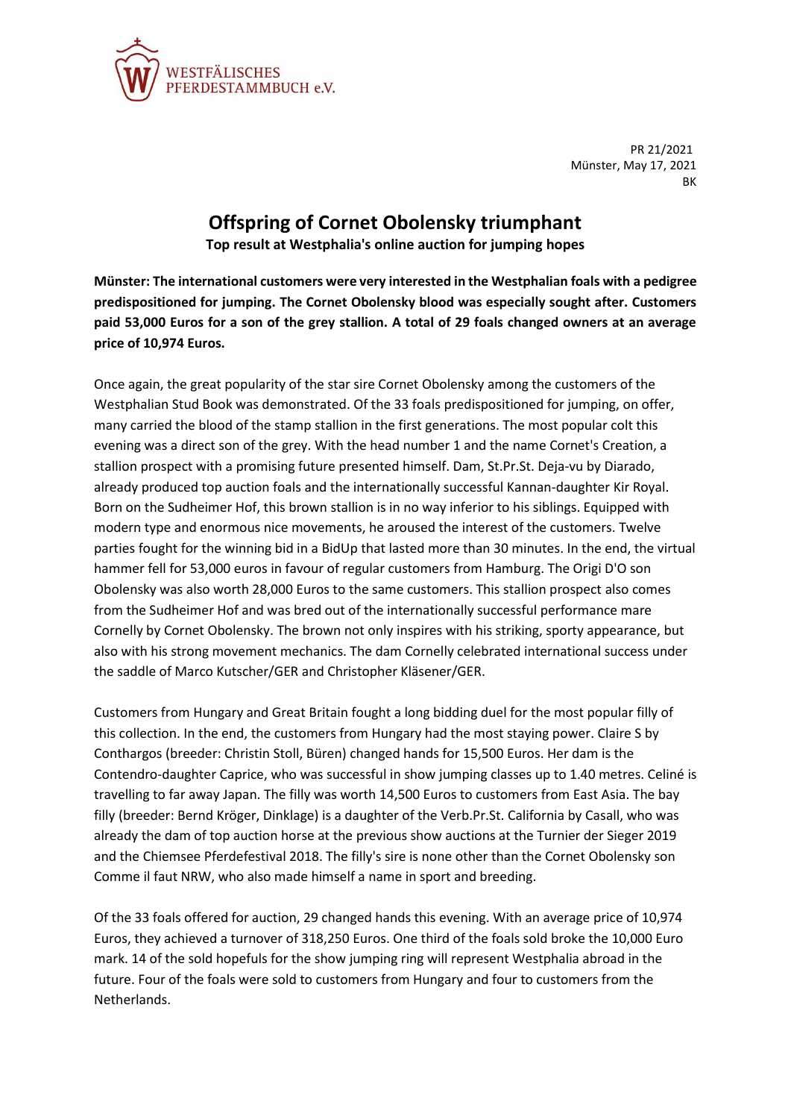

PR 21/2021 Münster, May 17, 2021 **BK** 

## **Offspring of Cornet Obolensky triumphant**

**Top result at Westphalia's online auction for jumping hopes**

**Münster: The international customers were very interested in the Westphalian foals with a pedigree predispositioned for jumping. The Cornet Obolensky blood was especially sought after. Customers paid 53,000 Euros for a son of the grey stallion. A total of 29 foals changed owners at an average price of 10,974 Euros.**

Once again, the great popularity of the star sire Cornet Obolensky among the customers of the Westphalian Stud Book was demonstrated. Of the 33 foals predispositioned for jumping, on offer, many carried the blood of the stamp stallion in the first generations. The most popular colt this evening was a direct son of the grey. With the head number 1 and the name Cornet's Creation, a stallion prospect with a promising future presented himself. Dam, St.Pr.St. Deja-vu by Diarado, already produced top auction foals and the internationally successful Kannan-daughter Kir Royal. Born on the Sudheimer Hof, this brown stallion is in no way inferior to his siblings. Equipped with modern type and enormous nice movements, he aroused the interest of the customers. Twelve parties fought for the winning bid in a BidUp that lasted more than 30 minutes. In the end, the virtual hammer fell for 53,000 euros in favour of regular customers from Hamburg. The Origi D'O son Obolensky was also worth 28,000 Euros to the same customers. This stallion prospect also comes from the Sudheimer Hof and was bred out of the internationally successful performance mare Cornelly by Cornet Obolensky. The brown not only inspires with his striking, sporty appearance, but also with his strong movement mechanics. The dam Cornelly celebrated international success under the saddle of Marco Kutscher/GER and Christopher Kläsener/GER.

Customers from Hungary and Great Britain fought a long bidding duel for the most popular filly of this collection. In the end, the customers from Hungary had the most staying power. Claire S by Conthargos (breeder: Christin Stoll, Büren) changed hands for 15,500 Euros. Her dam is the Contendro-daughter Caprice, who was successful in show jumping classes up to 1.40 metres. Celiné is travelling to far away Japan. The filly was worth 14,500 Euros to customers from East Asia. The bay filly (breeder: Bernd Kröger, Dinklage) is a daughter of the Verb.Pr.St. California by Casall, who was already the dam of top auction horse at the previous show auctions at the Turnier der Sieger 2019 and the Chiemsee Pferdefestival 2018. The filly's sire is none other than the Cornet Obolensky son Comme il faut NRW, who also made himself a name in sport and breeding.

Of the 33 foals offered for auction, 29 changed hands this evening. With an average price of 10,974 Euros, they achieved a turnover of 318,250 Euros. One third of the foals sold broke the 10,000 Euro mark. 14 of the sold hopefuls for the show jumping ring will represent Westphalia abroad in the future. Four of the foals were sold to customers from Hungary and four to customers from the Netherlands.